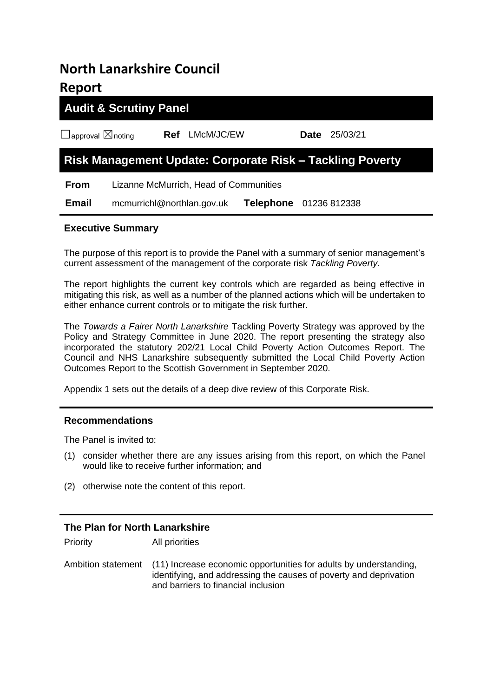## **North Lanarkshire Council Report**

# **Audit & Scrutiny Panel** ☐approval ☒noting **Ref** LMcM/JC/EW **Date** 25/03/21 **Risk Management Update: Corporate Risk – Tackling Poverty From** Lizanne McMurrich, Head of Communities  **Email** mcmurrichl@northlan.gov.uk **Telephone** 01236 812338

## **Executive Summary**

The purpose of this report is to provide the Panel with a summary of senior management's current assessment of the management of the corporate risk *Tackling Poverty*.

The report highlights the current key controls which are regarded as being effective in mitigating this risk, as well as a number of the planned actions which will be undertaken to either enhance current controls or to mitigate the risk further.

The *Towards a Fairer North Lanarkshire* Tackling Poverty Strategy was approved by the Policy and Strategy Committee in June 2020. The report presenting the strategy also incorporated the statutory 202/21 Local Child Poverty Action Outcomes Report. The Council and NHS Lanarkshire subsequently submitted the Local Child Poverty Action Outcomes Report to the Scottish Government in September 2020.

Appendix 1 sets out the details of a deep dive review of this Corporate Risk.

### **Recommendations**

The Panel is invited to:

- (1) consider whether there are any issues arising from this report, on which the Panel would like to receive further information; and
- (2) otherwise note the content of this report.

## **The Plan for North Lanarkshire** Priority All priorities Ambition statement (11) Increase economic opportunities for adults by understanding, identifying, and addressing the causes of poverty and deprivation and barriers to financial inclusion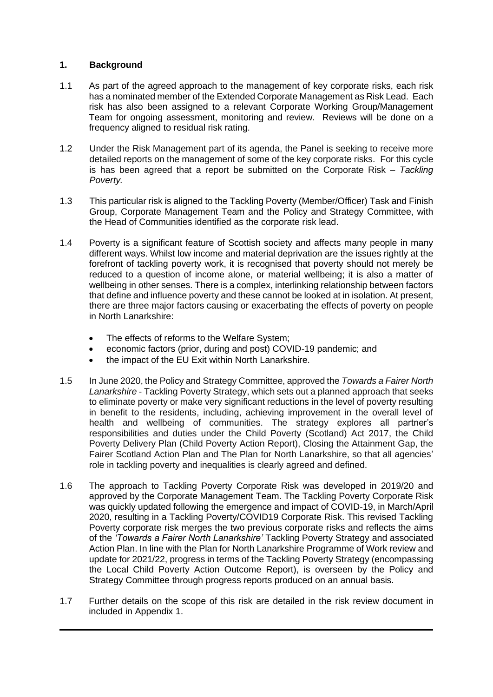### **1. Background**

- 1.1 As part of the agreed approach to the management of key corporate risks, each risk has a nominated member of the Extended Corporate Management as Risk Lead. Each risk has also been assigned to a relevant Corporate Working Group/Management Team for ongoing assessment, monitoring and review. Reviews will be done on a frequency aligned to residual risk rating.
- 1.2 Under the Risk Management part of its agenda, the Panel is seeking to receive more detailed reports on the management of some of the key corporate risks. For this cycle is has been agreed that a report be submitted on the Corporate Risk – *Tackling Poverty.*
- 1.3 This particular risk is aligned to the Tackling Poverty (Member/Officer) Task and Finish Group, Corporate Management Team and the Policy and Strategy Committee, with the Head of Communities identified as the corporate risk lead.
- 1.4 Poverty is a significant feature of Scottish society and affects many people in many different ways. Whilst low income and material deprivation are the issues rightly at the forefront of tackling poverty work, it is recognised that poverty should not merely be reduced to a question of income alone, or material wellbeing; it is also a matter of wellbeing in other senses. There is a complex, interlinking relationship between factors that define and influence poverty and these cannot be looked at in isolation. At present, there are three major factors causing or exacerbating the effects of poverty on people in North Lanarkshire:
	- The effects of reforms to the Welfare System;
	- economic factors (prior, during and post) COVID-19 pandemic; and
	- the impact of the EU Exit within North Lanarkshire.
- 1.5 In June 2020, the Policy and Strategy Committee, approved the *Towards a Fairer North Lanarkshire* - Tackling Poverty Strategy, which sets out a planned approach that seeks to eliminate poverty or make very significant reductions in the level of poverty resulting in benefit to the residents, including, achieving improvement in the overall level of health and wellbeing of communities. The strategy explores all partner's responsibilities and duties under the Child Poverty (Scotland) Act 2017, the Child Poverty Delivery Plan (Child Poverty Action Report), Closing the Attainment Gap, the Fairer Scotland Action Plan and The Plan for North Lanarkshire, so that all agencies' role in tackling poverty and inequalities is clearly agreed and defined.
- 1.6 The approach to Tackling Poverty Corporate Risk was developed in 2019/20 and approved by the Corporate Management Team. The Tackling Poverty Corporate Risk was quickly updated following the emergence and impact of COVID-19, in March/April 2020, resulting in a Tackling Poverty/COVID19 Corporate Risk. This revised Tackling Poverty corporate risk merges the two previous corporate risks and reflects the aims of the *'Towards a Fairer North Lanarkshire'* Tackling Poverty Strategy and associated Action Plan. In line with the Plan for North Lanarkshire Programme of Work review and update for 2021/22, progress in terms of the Tackling Poverty Strategy (encompassing the Local Child Poverty Action Outcome Report), is overseen by the Policy and Strategy Committee through progress reports produced on an annual basis.
- 1.7 Further details on the scope of this risk are detailed in the risk review document in included in Appendix 1.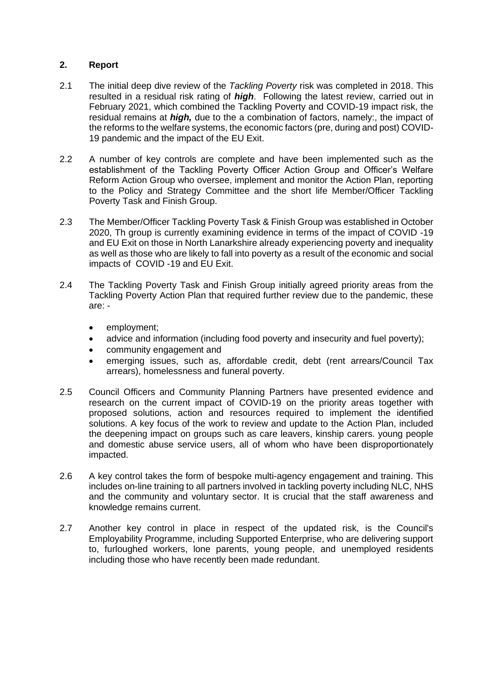## **2. Report**

- 2.1 The initial deep dive review of the *Tackling Poverty* risk was completed in 2018. This resulted in a residual risk rating of *high*. Following the latest review, carried out in February 2021, which combined the Tackling Poverty and COVID-19 impact risk, the residual remains at *high,* due to the a combination of factors, namely:, the impact of the reforms to the welfare systems, the economic factors (pre, during and post) COVID-19 pandemic and the impact of the EU Exit.
- 2.2 A number of key controls are complete and have been implemented such as the establishment of the Tackling Poverty Officer Action Group and Officer's Welfare Reform Action Group who oversee, implement and monitor the Action Plan, reporting to the Policy and Strategy Committee and the short life Member/Officer Tackling Poverty Task and Finish Group.
- 2.3 The Member/Officer Tackling Poverty Task & Finish Group was established in October 2020, Th group is currently examining evidence in terms of the impact of COVID -19 and EU Exit on those in North Lanarkshire already experiencing poverty and inequality as well as those who are likely to fall into poverty as a result of the economic and social impacts of COVID -19 and EU Exit.
- 2.4 The Tackling Poverty Task and Finish Group initially agreed priority areas from the Tackling Poverty Action Plan that required further review due to the pandemic, these are:
	- employment;
	- advice and information (including food poverty and insecurity and fuel poverty);
	- community engagement and
	- emerging issues, such as, affordable credit, debt (rent arrears/Council Tax arrears), homelessness and funeral poverty.
- 2.5 Council Officers and Community Planning Partners have presented evidence and research on the current impact of COVID-19 on the priority areas together with proposed solutions, action and resources required to implement the identified solutions. A key focus of the work to review and update to the Action Plan, included the deepening impact on groups such as care leavers, kinship carers. young people and domestic abuse service users, all of whom who have been disproportionately impacted.
- 2.6 A key control takes the form of bespoke multi-agency engagement and training. This includes on-line training to all partners involved in tackling poverty including NLC, NHS and the community and voluntary sector. It is crucial that the staff awareness and knowledge remains current.
- 2.7 Another key control in place in respect of the updated risk, is the Council's Employability Programme, including Supported Enterprise, who are delivering support to, furloughed workers, lone parents, young people, and unemployed residents including those who have recently been made redundant.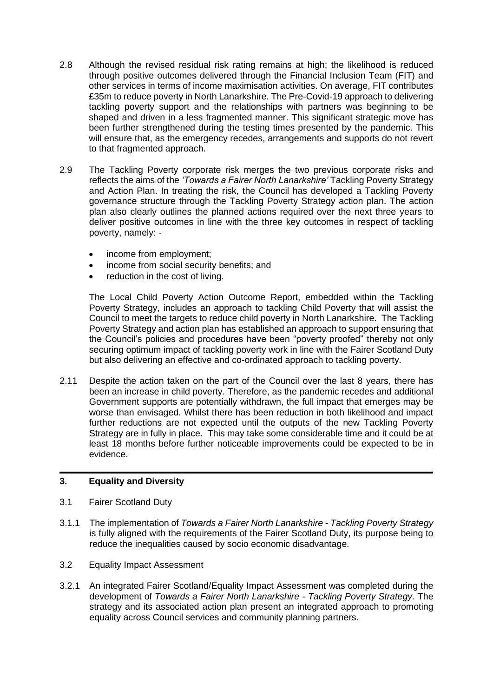- 2.8 Although the revised residual risk rating remains at high; the likelihood is reduced through positive outcomes delivered through the Financial Inclusion Team (FIT) and other services in terms of income maximisation activities. On average, FIT contributes £35m to reduce poverty in North Lanarkshire. The Pre-Covid-19 approach to delivering tackling poverty support and the relationships with partners was beginning to be shaped and driven in a less fragmented manner. This significant strategic move has been further strengthened during the testing times presented by the pandemic. This will ensure that, as the emergency recedes, arrangements and supports do not revert to that fragmented approach.
- 2.9 The Tackling Poverty corporate risk merges the two previous corporate risks and reflects the aims of the *'Towards a Fairer North Lanarkshire'* Tackling Poverty Strategy and Action Plan. In treating the risk, the Council has developed a Tackling Poverty governance structure through the Tackling Poverty Strategy action plan. The action plan also clearly outlines the planned actions required over the next three years to deliver positive outcomes in line with the three key outcomes in respect of tackling poverty, namely: -
	- income from employment;
	- income from social security benefits; and
	- reduction in the cost of living.

The Local Child Poverty Action Outcome Report, embedded within the Tackling Poverty Strategy, includes an approach to tackling Child Poverty that will assist the Council to meet the targets to reduce child poverty in North Lanarkshire. The Tackling Poverty Strategy and action plan has established an approach to support ensuring that the Council's policies and procedures have been "poverty proofed" thereby not only securing optimum impact of tackling poverty work in line with the Fairer Scotland Duty but also delivering an effective and co-ordinated approach to tackling poverty.

2.11 Despite the action taken on the part of the Council over the last 8 years, there has been an increase in child poverty. Therefore, as the pandemic recedes and additional Government supports are potentially withdrawn, the full impact that emerges may be worse than envisaged. Whilst there has been reduction in both likelihood and impact further reductions are not expected until the outputs of the new Tackling Poverty Strategy are in fully in place. This may take some considerable time and it could be at least 18 months before further noticeable improvements could be expected to be in evidence.

## **3. Equality and Diversity**

- 3.1 Fairer Scotland Duty
- 3.1.1 The implementation of *Towards a Fairer North Lanarkshire - Tackling Poverty Strategy* is fully aligned with the requirements of the Fairer Scotland Duty, its purpose being to reduce the inequalities caused by socio economic disadvantage.
- 3.2 Equality Impact Assessment
- 3.2.1 An integrated Fairer Scotland/Equality Impact Assessment was completed during the development of *Towards a Fairer North Lanarkshire - Tackling Poverty Strategy.* The strategy and its associated action plan present an integrated approach to promoting equality across Council services and community planning partners.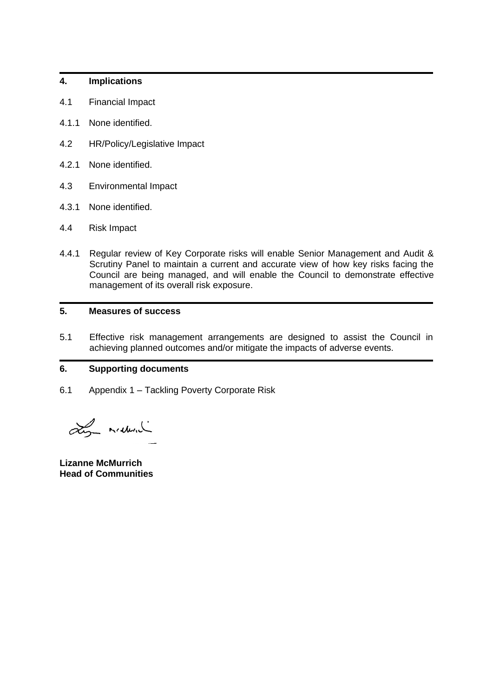### **4. Implications**

- 4.1 Financial Impact
- 4.1.1 None identified.
- 4.2 HR/Policy/Legislative Impact
- 4.2.1 None identified.
- 4.3 Environmental Impact
- 4.3.1 None identified.
- 4.4 Risk Impact
- 4.4.1 Regular review of Key Corporate risks will enable Senior Management and Audit & Scrutiny Panel to maintain a current and accurate view of how key risks facing the Council are being managed, and will enable the Council to demonstrate effective management of its overall risk exposure.

## **5. Measures of success**

5.1 Effective risk management arrangements are designed to assist the Council in achieving planned outcomes and/or mitigate the impacts of adverse events.

## **6. Supporting documents**

6.1 Appendix 1 – Tackling Poverty Corporate Risk

Ly maderal

**Lizanne McMurrich Head of Communities**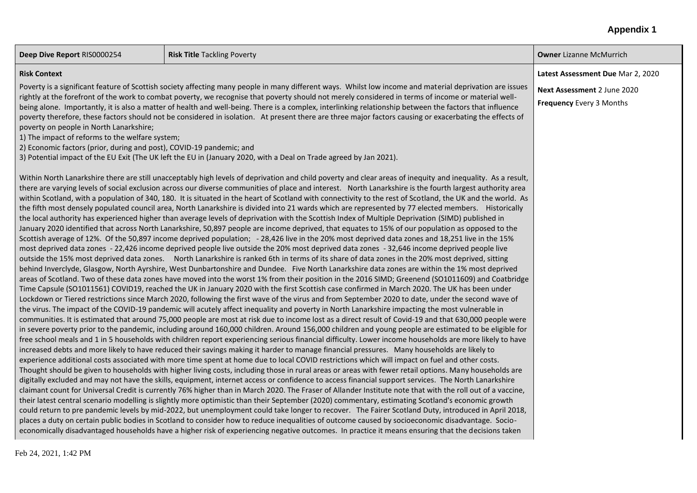#### **Appendix 1**

**Deep Dive Report** RIS0000254 **Risk Title Tackling Poverty <b>Risk Title Access** Poverty **Owner Lizanne McMurrich** 

#### **Risk Context**

Poverty is a significant feature of Scottish society affecting many people in many different ways. Whilst low income and material deprivation are issues rightly at the forefront of the work to combat poverty, we recognise that poverty should not merely considered in terms of income or material wellbeing alone. Importantly, it is also a matter of health and well-being. There is a complex, interlinking relationship between the factors that influence poverty therefore, these factors should not be considered in isolation. At present there are three major factors causing or exacerbating the effects of poverty on people in North Lanarkshire;

1) The impact of reforms to the welfare system;

2) Economic factors (prior, during and post), COVID-19 pandemic; and

3) Potential impact of the EU Exit (The UK left the EU in (January 2020, with a Deal on Trade agreed by Jan 2021).

Within North Lanarkshire there are still unacceptably high levels of deprivation and child poverty and clear areas of inequity and inequality. As a result, there are varying levels of social exclusion across our diverse communities of place and interest. North Lanarkshire is the fourth largest authority area within Scotland, with a population of 340, 180. It is situated in the heart of Scotland with connectivity to the rest of Scotland, the UK and the world. As the fifth most densely populated council area, North Lanarkshire is divided into 21 wards which are represented by 77 elected members. Historically the local authority has experienced higher than average levels of deprivation with the Scottish Index of Multiple Deprivation (SIMD) published in January 2020 identified that across North Lanarkshire, 50,897 people are income deprived, that equates to 15% of our population as opposed to the Scottish average of 12%. Of the 50,897 income deprived population; - 28,426 live in the 20% most deprived data zones and 18,251 live in the 15% most deprived data zones - 22,426 income deprived people live outside the 20% most deprived data zones - 32,646 income deprived people live outside the 15% most deprived data zones. North Lanarkshire is ranked 6th in terms of its share of data zones in the 20% most deprived, sitting behind Inverclyde, Glasgow, North Ayrshire, West Dunbartonshire and Dundee. Five North Lanarkshire data zones are within the 1% most deprived areas of Scotland. Two of these data zones have moved into the worst 1% from their position in the 2016 SIMD; Greenend (SO1011609) and Coatbridge Time Capsule (SO1011561) COVID19, reached the UK in January 2020 with the first Scottish case confirmed in March 2020. The UK has been under Lockdown or Tiered restrictions since March 2020, following the first wave of the virus and from September 2020 to date, under the second wave of the virus. The impact of the COVID-19 pandemic will acutely affect inequality and poverty in North Lanarkshire impacting the most vulnerable in communities. It is estimated that around 75,000 people are most at risk due to income lost as a direct result of Covid-19 and that 630,000 people were in severe poverty prior to the pandemic, including around 160,000 children. Around 156,000 children and young people are estimated to be eligible for free school meals and 1 in 5 households with children report experiencing serious financial difficulty. Lower income households are more likely to have increased debts and more likely to have reduced their savings making it harder to manage financial pressures. Many households are likely to experience additional costs associated with more time spent at home due to local COVID restrictions which will impact on fuel and other costs. Thought should be given to households with higher living costs, including those in rural areas or areas with fewer retail options. Many households are digitally excluded and may not have the skills, equipment, internet access or confidence to access financial support services. The North Lanarkshire claimant count for Universal Credit is currently 76% higher than in March 2020. The Fraser of Allander Institute note that with the roll out of a vaccine, their latest central scenario modelling is slightly more optimistic than their September (2020) commentary, estimating Scotland's economic growth could return to pre pandemic levels by mid-2022, but unemployment could take longer to recover. The Fairer Scotland Duty, introduced in April 2018, places a duty on certain public bodies in Scotland to consider how to reduce inequalities of outcome caused by socioeconomic disadvantage. Socioeconomically disadvantaged households have a higher risk of experiencing negative outcomes. In practice it means ensuring that the decisions taken

**Latest Assessment Due** Mar 2, 2020

**Next Assessment** 2 June 2020

**Frequency** Every 3 Months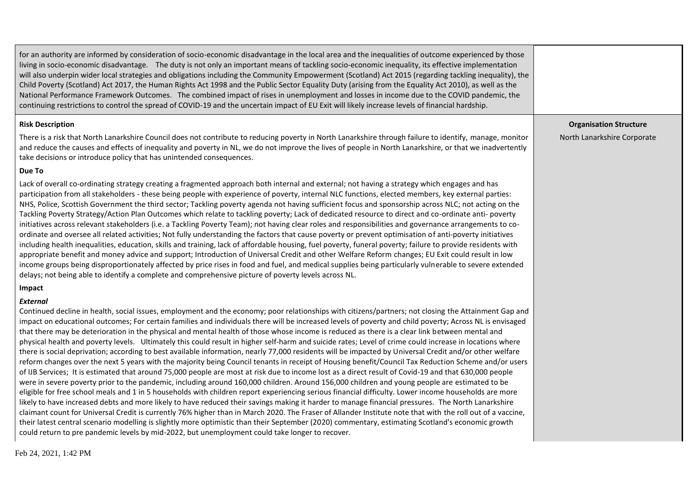| for an authority are informed by consideration of socio-economic disadvantage in the local area and the inequalities of outcome experienced by those<br>living in socio-economic disadvantage. The duty is not only an important means of tackling socio-economic inequality, its effective implementation<br>will also underpin wider local strategies and obligations including the Community Empowerment (Scotland) Act 2015 (regarding tackling inequality), the<br>Child Poverty (Scotland) Act 2017, the Human Rights Act 1998 and the Public Sector Equality Duty (arising from the Equality Act 2010), as well as the<br>National Performance Framework Outcomes. The combined impact of rises in unemployment and losses in income due to the COVID pandemic, the<br>continuing restrictions to control the spread of COVID-19 and the uncertain impact of EU Exit will likely increase levels of financial hardship.                                                                                                                                                                                                                                                                                                                                                                                                                                                                                                                                                                                                                                                                                                                                                                                                                                                                                                                                                                                                                                                                                |                               |
|---------------------------------------------------------------------------------------------------------------------------------------------------------------------------------------------------------------------------------------------------------------------------------------------------------------------------------------------------------------------------------------------------------------------------------------------------------------------------------------------------------------------------------------------------------------------------------------------------------------------------------------------------------------------------------------------------------------------------------------------------------------------------------------------------------------------------------------------------------------------------------------------------------------------------------------------------------------------------------------------------------------------------------------------------------------------------------------------------------------------------------------------------------------------------------------------------------------------------------------------------------------------------------------------------------------------------------------------------------------------------------------------------------------------------------------------------------------------------------------------------------------------------------------------------------------------------------------------------------------------------------------------------------------------------------------------------------------------------------------------------------------------------------------------------------------------------------------------------------------------------------------------------------------------------------------------------------------------------------------------------------------|-------------------------------|
| <b>Risk Description</b>                                                                                                                                                                                                                                                                                                                                                                                                                                                                                                                                                                                                                                                                                                                                                                                                                                                                                                                                                                                                                                                                                                                                                                                                                                                                                                                                                                                                                                                                                                                                                                                                                                                                                                                                                                                                                                                                                                                                                                                       | <b>Organisation Structure</b> |
| There is a risk that North Lanarkshire Council does not contribute to reducing poverty in North Lanarkshire through failure to identify, manage, monitor<br>and reduce the causes and effects of inequality and poverty in NL, we do not improve the lives of people in North Lanarkshire, or that we inadvertently<br>take decisions or introduce policy that has unintended consequences.                                                                                                                                                                                                                                                                                                                                                                                                                                                                                                                                                                                                                                                                                                                                                                                                                                                                                                                                                                                                                                                                                                                                                                                                                                                                                                                                                                                                                                                                                                                                                                                                                   | North Lanarkshire Corporate   |
| Due To                                                                                                                                                                                                                                                                                                                                                                                                                                                                                                                                                                                                                                                                                                                                                                                                                                                                                                                                                                                                                                                                                                                                                                                                                                                                                                                                                                                                                                                                                                                                                                                                                                                                                                                                                                                                                                                                                                                                                                                                        |                               |
| Lack of overall co-ordinating strategy creating a fragmented approach both internal and external; not having a strategy which engages and has<br>participation from all stakeholders - these being people with experience of poverty, internal NLC functions, elected members, key external parties:<br>NHS, Police, Scottish Government the third sector; Tackling poverty agenda not having sufficient focus and sponsorship across NLC; not acting on the<br>Tackling Poverty Strategy/Action Plan Outcomes which relate to tackling poverty; Lack of dedicated resource to direct and co-ordinate anti- poverty<br>initiatives across relevant stakeholders (i.e. a Tackling Poverty Team); not having clear roles and responsibilities and governance arrangements to co-<br>ordinate and oversee all related activities; Not fully understanding the factors that cause poverty or prevent optimisation of anti-poverty initiatives<br>including health inequalities, education, skills and training, lack of affordable housing, fuel poverty, funeral poverty; failure to provide residents with<br>appropriate benefit and money advice and support; Introduction of Universal Credit and other Welfare Reform changes; EU Exit could result in low<br>income groups being disproportionately affected by price rises in food and fuel, and medical supplies being particularly vulnerable to severe extended<br>delays; not being able to identify a complete and comprehensive picture of poverty levels across NL.                                                                                                                                                                                                                                                                                                                                                                                                                                                                                |                               |
| Impact                                                                                                                                                                                                                                                                                                                                                                                                                                                                                                                                                                                                                                                                                                                                                                                                                                                                                                                                                                                                                                                                                                                                                                                                                                                                                                                                                                                                                                                                                                                                                                                                                                                                                                                                                                                                                                                                                                                                                                                                        |                               |
| External<br>Continued decline in health, social issues, employment and the economy; poor relationships with citizens/partners; not closing the Attainment Gap and<br>impact on educational outcomes; For certain families and individuals there will be increased levels of poverty and child poverty; Across NL is envisaged<br>that there may be deterioration in the physical and mental health of those whose income is reduced as there is a clear link between mental and<br>physical health and poverty levels. Ultimately this could result in higher self-harm and suicide rates; Level of crime could increase in locations where<br>there is social deprivation; according to best available information, nearly 77,000 residents will be impacted by Universal Credit and/or other welfare<br>reform changes over the next 5 years with the majority being Council tenants in receipt of Housing benefit/Council Tax Reduction Scheme and/or users<br>of IJB Services; It is estimated that around 75,000 people are most at risk due to income lost as a direct result of Covid-19 and that 630,000 people<br>were in severe poverty prior to the pandemic, including around 160,000 children. Around 156,000 children and young people are estimated to be<br>eligible for free school meals and 1 in 5 households with children report experiencing serious financial difficulty. Lower income households are more<br>likely to have increased debts and more likely to have reduced their savings making it harder to manage financial pressures. The North Lanarkshire<br>claimant count for Universal Credit is currently 76% higher than in March 2020. The Fraser of Allander Institute note that with the roll out of a vaccine,<br>their latest central scenario modelling is slightly more optimistic than their September (2020) commentary, estimating Scotland's economic growth<br>could return to pre pandemic levels by mid-2022, but unemployment could take longer to recover. |                               |

Feb 24, 2021, 1:42 PM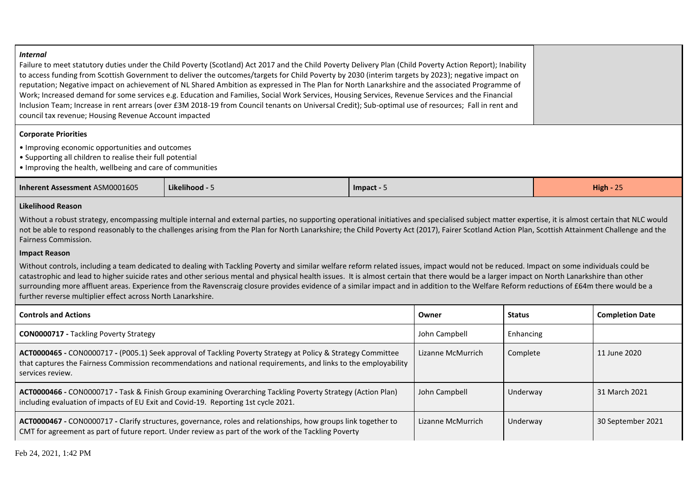#### *Internal*

Failure to meet statutory duties under the Child Poverty (Scotland) Act 2017 and the Child Poverty Delivery Plan (Child Poverty Action Report); Inability to access funding from Scottish Government to deliver the outcomes/targets for Child Poverty by 2030 (interim targets by 2023); negative impact on reputation; Negative impact on achievement of NL Shared Ambition as expressed in The Plan for North Lanarkshire and the associated Programme of Work; Increased demand for some services e.g. Education and Families, Social Work Services, Housing Services, Revenue Services and the Financial Inclusion Team; Increase in rent arrears (over £3M 2018-19 from Council tenants on Universal Credit); Sub-optimal use of resources; Fall in rent and council tax revenue; Housing Revenue Account impacted

#### **Corporate Priorities**

- Improving economic opportunities and outcomes
- Supporting all children to realise their full potential
- Improving the health, wellbeing and care of communities

| Inherent Assessment ASM0001605 | kelihood -<br>. | - Impact - | $\sim$ $-$<br>High -<br>$- -$ |
|--------------------------------|-----------------|------------|-------------------------------|
|--------------------------------|-----------------|------------|-------------------------------|

#### **Likelihood Reason**

Without a robust strategy, encompassing multiple internal and external parties, no supporting operational initiatives and specialised subject matter expertise, it is almost certain that NLC would not be able to respond reasonably to the challenges arising from the Plan for North Lanarkshire; the Child Poverty Act (2017), Fairer Scotland Action Plan, Scottish Attainment Challenge and the Fairness Commission.

#### **Impact Reason**

Without controls, including a team dedicated to dealing with Tackling Poverty and similar welfare reform related issues, impact would not be reduced. Impact on some individuals could be catastrophic and lead to higher suicide rates and other serious mental and physical health issues. It is almost certain that there would be a larger impact on North Lanarkshire than other surrounding more affluent areas. Experience from the Ravenscraig closure provides evidence of a similar impact and in addition to the Welfare Reform reductions of £64m there would be a further reverse multiplier effect across North Lanarkshire.

| <b>Controls and Actions</b>                                                                                                                                                                                                                         | Owner             | <b>Status</b> | <b>Completion Date</b> |
|-----------------------------------------------------------------------------------------------------------------------------------------------------------------------------------------------------------------------------------------------------|-------------------|---------------|------------------------|
| <b>CON0000717 - Tackling Poverty Strategy</b>                                                                                                                                                                                                       | John Campbell     | Enhancing     |                        |
| ACT0000465 - CON0000717 - (P005.1) Seek approval of Tackling Poverty Strategy at Policy & Strategy Committee<br>that captures the Fairness Commission recommendations and national requirements, and links to the employability<br>services review. | Lizanne McMurrich | Complete      | 11 June 2020           |
| ACT0000466 - CON0000717 - Task & Finish Group examining Overarching Tackling Poverty Strategy (Action Plan)<br>including evaluation of impacts of EU Exit and Covid-19. Reporting 1st cycle 2021.                                                   | John Campbell     | Underway      | 31 March 2021          |
| ACT0000467 - CON0000717 - Clarify structures, governance, roles and relationships, how groups link together to<br>CMT for agreement as part of future report. Under review as part of the work of the Tackling Poverty                              | Lizanne McMurrich | Underway      | 30 September 2021      |

Feb 24, 2021, 1:42 PM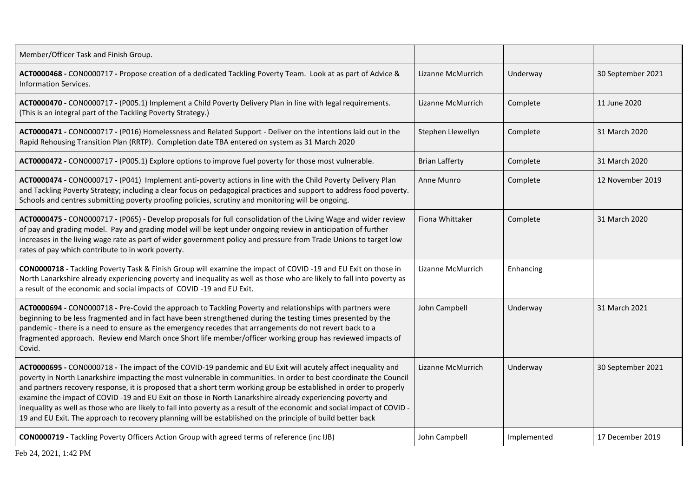| Member/Officer Task and Finish Group.                                                                                                                                                                                                                                                                                                                                                                                                                                                                                                                                                                                                                                                                             |                       |             |                   |
|-------------------------------------------------------------------------------------------------------------------------------------------------------------------------------------------------------------------------------------------------------------------------------------------------------------------------------------------------------------------------------------------------------------------------------------------------------------------------------------------------------------------------------------------------------------------------------------------------------------------------------------------------------------------------------------------------------------------|-----------------------|-------------|-------------------|
| ACT0000468 - CON0000717 - Propose creation of a dedicated Tackling Poverty Team. Look at as part of Advice &<br><b>Information Services.</b>                                                                                                                                                                                                                                                                                                                                                                                                                                                                                                                                                                      | Lizanne McMurrich     | Underway    | 30 September 2021 |
| ACT0000470 - CON0000717 - (P005.1) Implement a Child Poverty Delivery Plan in line with legal requirements.<br>(This is an integral part of the Tackling Poverty Strategy.)                                                                                                                                                                                                                                                                                                                                                                                                                                                                                                                                       | Lizanne McMurrich     | Complete    | 11 June 2020      |
| ACT0000471 - CON0000717 - (P016) Homelessness and Related Support - Deliver on the intentions laid out in the<br>Rapid Rehousing Transition Plan (RRTP). Completion date TBA entered on system as 31 March 2020                                                                                                                                                                                                                                                                                                                                                                                                                                                                                                   | Stephen Llewellyn     | Complete    | 31 March 2020     |
| ACT0000472 - CON0000717 - (P005.1) Explore options to improve fuel poverty for those most vulnerable.                                                                                                                                                                                                                                                                                                                                                                                                                                                                                                                                                                                                             | <b>Brian Lafferty</b> | Complete    | 31 March 2020     |
| ACT0000474 - CON0000717 - (P041) Implement anti-poverty actions in line with the Child Poverty Delivery Plan<br>and Tackling Poverty Strategy; including a clear focus on pedagogical practices and support to address food poverty.<br>Schools and centres submitting poverty proofing policies, scrutiny and monitoring will be ongoing.                                                                                                                                                                                                                                                                                                                                                                        | Anne Munro            | Complete    | 12 November 2019  |
| ACT0000475 - CON0000717 - (P065) - Develop proposals for full consolidation of the Living Wage and wider review<br>of pay and grading model. Pay and grading model will be kept under ongoing review in anticipation of further<br>increases in the living wage rate as part of wider government policy and pressure from Trade Unions to target low<br>rates of pay which contribute to in work poverty.                                                                                                                                                                                                                                                                                                         | Fiona Whittaker       | Complete    | 31 March 2020     |
| CON0000718 - Tackling Poverty Task & Finish Group will examine the impact of COVID -19 and EU Exit on those in<br>North Lanarkshire already experiencing poverty and inequality as well as those who are likely to fall into poverty as<br>a result of the economic and social impacts of COVID-19 and EU Exit.                                                                                                                                                                                                                                                                                                                                                                                                   | Lizanne McMurrich     | Enhancing   |                   |
| ACT0000694 - CON0000718 - Pre-Covid the approach to Tackling Poverty and relationships with partners were<br>beginning to be less fragmented and in fact have been strengthened during the testing times presented by the<br>pandemic - there is a need to ensure as the emergency recedes that arrangements do not revert back to a<br>fragmented approach. Review end March once Short life member/officer working group has reviewed impacts of<br>Covid.                                                                                                                                                                                                                                                      | John Campbell         | Underway    | 31 March 2021     |
| ACT0000695 - CON0000718 - The impact of the COVID-19 pandemic and EU Exit will acutely affect inequality and<br>poverty in North Lanarkshire impacting the most vulnerable in communities. In order to best coordinate the Council<br>and partners recovery response, it is proposed that a short term working group be established in order to properly<br>examine the impact of COVID -19 and EU Exit on those in North Lanarkshire already experiencing poverty and<br>inequality as well as those who are likely to fall into poverty as a result of the economic and social impact of COVID -<br>19 and EU Exit. The approach to recovery planning will be established on the principle of build better back | Lizanne McMurrich     | Underway    | 30 September 2021 |
| CON0000719 - Tackling Poverty Officers Action Group with agreed terms of reference (inc IJB)<br>$E_{\rm A}L$ , 0.4 . 0.001 . 1.40 $\overline{DM}$                                                                                                                                                                                                                                                                                                                                                                                                                                                                                                                                                                 | John Campbell         | Implemented | 17 December 2019  |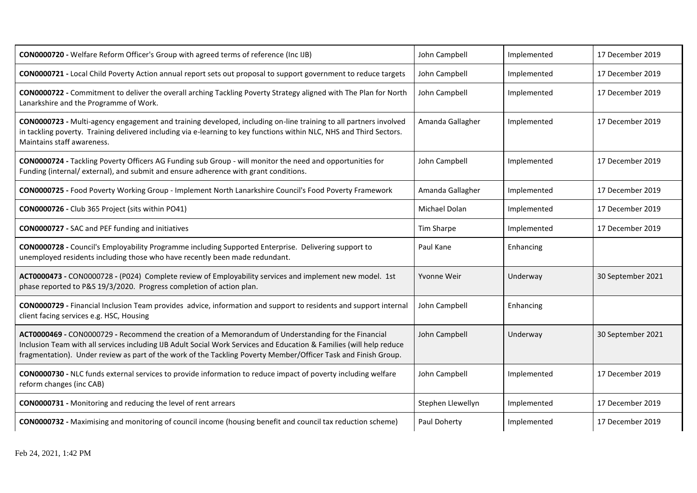| CON0000720 - Welfare Reform Officer's Group with agreed terms of reference (Inc IJB)                                                                                                                                                                                                                                                          | John Campbell     | Implemented | 17 December 2019  |
|-----------------------------------------------------------------------------------------------------------------------------------------------------------------------------------------------------------------------------------------------------------------------------------------------------------------------------------------------|-------------------|-------------|-------------------|
| CON0000721 - Local Child Poverty Action annual report sets out proposal to support government to reduce targets                                                                                                                                                                                                                               | John Campbell     | Implemented | 17 December 2019  |
| CON0000722 - Commitment to deliver the overall arching Tackling Poverty Strategy aligned with The Plan for North<br>Lanarkshire and the Programme of Work.                                                                                                                                                                                    | John Campbell     | Implemented | 17 December 2019  |
| CON0000723 - Multi-agency engagement and training developed, including on-line training to all partners involved<br>in tackling poverty. Training delivered including via e-learning to key functions within NLC, NHS and Third Sectors.<br>Maintains staff awareness.                                                                        | Amanda Gallagher  | Implemented | 17 December 2019  |
| CON0000724 - Tackling Poverty Officers AG Funding sub Group - will monitor the need and opportunities for<br>Funding (internal/external), and submit and ensure adherence with grant conditions.                                                                                                                                              | John Campbell     | Implemented | 17 December 2019  |
| CON0000725 - Food Poverty Working Group - Implement North Lanarkshire Council's Food Poverty Framework                                                                                                                                                                                                                                        | Amanda Gallagher  | Implemented | 17 December 2019  |
| CON0000726 - Club 365 Project (sits within PO41)                                                                                                                                                                                                                                                                                              | Michael Dolan     | Implemented | 17 December 2019  |
| <b>CON0000727 - SAC and PEF funding and initiatives</b>                                                                                                                                                                                                                                                                                       | Tim Sharpe        | Implemented | 17 December 2019  |
| CON0000728 - Council's Employability Programme including Supported Enterprise. Delivering support to<br>unemployed residents including those who have recently been made redundant.                                                                                                                                                           | Paul Kane         | Enhancing   |                   |
| ACT0000473 - CON0000728 - (P024) Complete review of Employability services and implement new model. 1st<br>phase reported to P&S 19/3/2020. Progress completion of action plan.                                                                                                                                                               | Yvonne Weir       | Underway    | 30 September 2021 |
| CON0000729 - Financial Inclusion Team provides advice, information and support to residents and support internal<br>client facing services e.g. HSC, Housing                                                                                                                                                                                  | John Campbell     | Enhancing   |                   |
| ACT0000469 - CON0000729 - Recommend the creation of a Memorandum of Understanding for the Financial<br>Inclusion Team with all services including IJB Adult Social Work Services and Education & Families (will help reduce<br>fragmentation). Under review as part of the work of the Tackling Poverty Member/Officer Task and Finish Group. | John Campbell     | Underway    | 30 September 2021 |
| CON0000730 - NLC funds external services to provide information to reduce impact of poverty including welfare<br>reform changes (inc CAB)                                                                                                                                                                                                     | John Campbell     | Implemented | 17 December 2019  |
| <b>CON0000731</b> - Monitoring and reducing the level of rent arrears                                                                                                                                                                                                                                                                         | Stephen Llewellyn | Implemented | 17 December 2019  |
| CON0000732 - Maximising and monitoring of council income (housing benefit and council tax reduction scheme)                                                                                                                                                                                                                                   | Paul Doherty      | Implemented | 17 December 2019  |